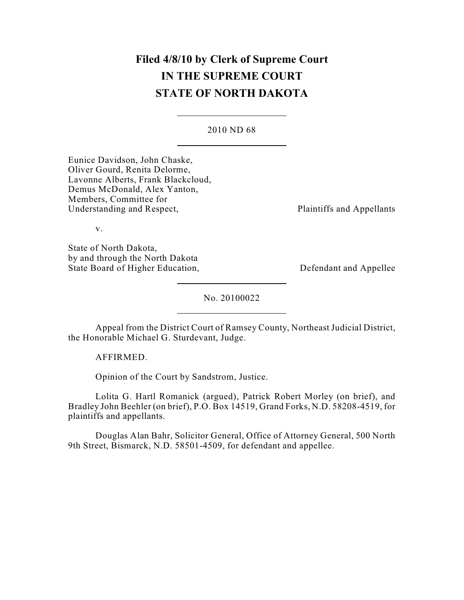# **Filed 4/8/10 by Clerk of Supreme Court IN THE SUPREME COURT STATE OF NORTH DAKOTA**

2010 ND 68

Eunice Davidson, John Chaske, Oliver Gourd, Renita Delorme, Lavonne Alberts, Frank Blackcloud, Demus McDonald, Alex Yanton, Members, Committee for Understanding and Respect, Plaintiffs and Appellants

v.

State of North Dakota, by and through the North Dakota State Board of Higher Education, Defendant and Appellee

No. 20100022

Appeal from the District Court of Ramsey County, Northeast Judicial District, the Honorable Michael G. Sturdevant, Judge.

AFFIRMED.

Opinion of the Court by Sandstrom, Justice.

Lolita G. Hartl Romanick (argued), Patrick Robert Morley (on brief), and Bradley John Beehler (on brief), P.O. Box 14519, Grand Forks, N.D. 58208-4519, for plaintiffs and appellants.

Douglas Alan Bahr, Solicitor General, Office of Attorney General, 500 North 9th Street, Bismarck, N.D. 58501-4509, for defendant and appellee.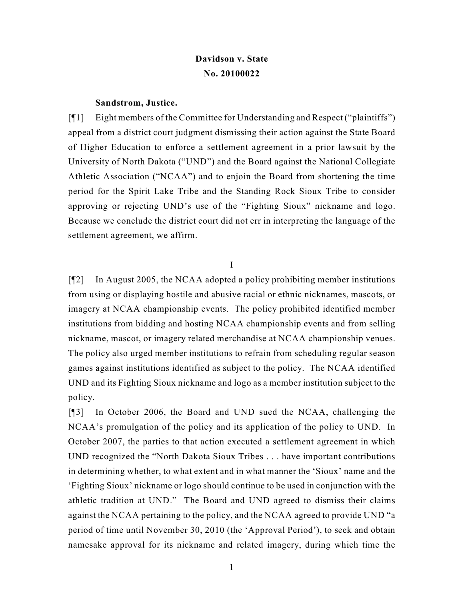## **Davidson v. State No. 20100022**

#### **Sandstrom, Justice.**

[¶1] Eight members of the Committee for Understanding and Respect ("plaintiffs") appeal from a district court judgment dismissing their action against the State Board of Higher Education to enforce a settlement agreement in a prior lawsuit by the University of North Dakota ("UND") and the Board against the National Collegiate Athletic Association ("NCAA") and to enjoin the Board from shortening the time period for the Spirit Lake Tribe and the Standing Rock Sioux Tribe to consider approving or rejecting UND's use of the "Fighting Sioux" nickname and logo. Because we conclude the district court did not err in interpreting the language of the settlement agreement, we affirm.

### I

[¶2] In August 2005, the NCAA adopted a policy prohibiting member institutions from using or displaying hostile and abusive racial or ethnic nicknames, mascots, or imagery at NCAA championship events. The policy prohibited identified member institutions from bidding and hosting NCAA championship events and from selling nickname, mascot, or imagery related merchandise at NCAA championship venues. The policy also urged member institutions to refrain from scheduling regular season games against institutions identified as subject to the policy. The NCAA identified UND and its Fighting Sioux nickname and logo as a member institution subject to the policy.

[¶3] In October 2006, the Board and UND sued the NCAA, challenging the NCAA's promulgation of the policy and its application of the policy to UND. In October 2007, the parties to that action executed a settlement agreement in which UND recognized the "North Dakota Sioux Tribes . . . have important contributions in determining whether, to what extent and in what manner the 'Sioux' name and the 'Fighting Sioux' nickname or logo should continue to be used in conjunction with the athletic tradition at UND." The Board and UND agreed to dismiss their claims against the NCAA pertaining to the policy, and the NCAA agreed to provide UND "a period of time until November 30, 2010 (the 'Approval Period'), to seek and obtain namesake approval for its nickname and related imagery, during which time the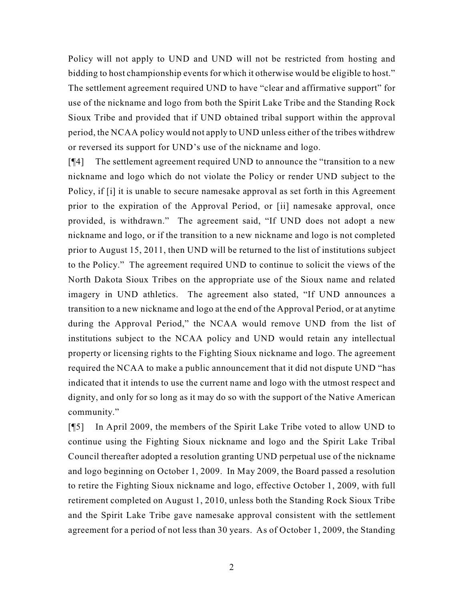Policy will not apply to UND and UND will not be restricted from hosting and bidding to host championship events for which it otherwise would be eligible to host." The settlement agreement required UND to have "clear and affirmative support" for use of the nickname and logo from both the Spirit Lake Tribe and the Standing Rock Sioux Tribe and provided that if UND obtained tribal support within the approval period, the NCAA policy would not apply to UND unless either of the tribes withdrew or reversed its support for UND's use of the nickname and logo.

[¶4] The settlement agreement required UND to announce the "transition to a new nickname and logo which do not violate the Policy or render UND subject to the Policy, if [i] it is unable to secure namesake approval as set forth in this Agreement prior to the expiration of the Approval Period, or [ii] namesake approval, once provided, is withdrawn." The agreement said, "If UND does not adopt a new nickname and logo, or if the transition to a new nickname and logo is not completed prior to August 15, 2011, then UND will be returned to the list of institutions subject to the Policy." The agreement required UND to continue to solicit the views of the North Dakota Sioux Tribes on the appropriate use of the Sioux name and related imagery in UND athletics. The agreement also stated, "If UND announces a transition to a new nickname and logo at the end of the Approval Period, or at anytime during the Approval Period," the NCAA would remove UND from the list of institutions subject to the NCAA policy and UND would retain any intellectual property or licensing rights to the Fighting Sioux nickname and logo. The agreement required the NCAA to make a public announcement that it did not dispute UND "has indicated that it intends to use the current name and logo with the utmost respect and dignity, and only for so long as it may do so with the support of the Native American community."

[¶5] In April 2009, the members of the Spirit Lake Tribe voted to allow UND to continue using the Fighting Sioux nickname and logo and the Spirit Lake Tribal Council thereafter adopted a resolution granting UND perpetual use of the nickname and logo beginning on October 1, 2009. In May 2009, the Board passed a resolution to retire the Fighting Sioux nickname and logo, effective October 1, 2009, with full retirement completed on August 1, 2010, unless both the Standing Rock Sioux Tribe and the Spirit Lake Tribe gave namesake approval consistent with the settlement agreement for a period of not less than 30 years. As of October 1, 2009, the Standing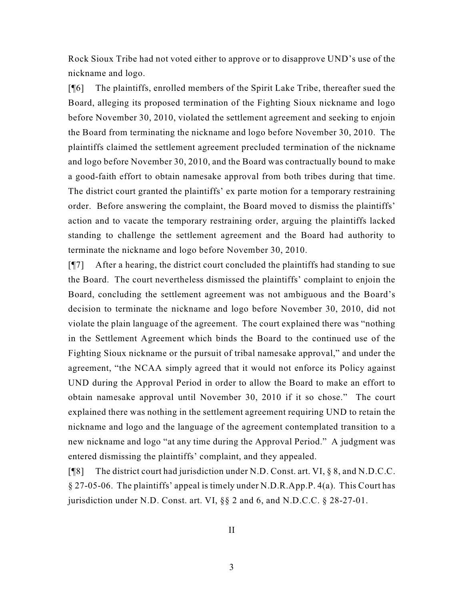Rock Sioux Tribe had not voted either to approve or to disapprove UND's use of the nickname and logo.

[¶6] The plaintiffs, enrolled members of the Spirit Lake Tribe, thereafter sued the Board, alleging its proposed termination of the Fighting Sioux nickname and logo before November 30, 2010, violated the settlement agreement and seeking to enjoin the Board from terminating the nickname and logo before November 30, 2010. The plaintiffs claimed the settlement agreement precluded termination of the nickname and logo before November 30, 2010, and the Board was contractually bound to make a good-faith effort to obtain namesake approval from both tribes during that time. The district court granted the plaintiffs' ex parte motion for a temporary restraining order. Before answering the complaint, the Board moved to dismiss the plaintiffs' action and to vacate the temporary restraining order, arguing the plaintiffs lacked standing to challenge the settlement agreement and the Board had authority to terminate the nickname and logo before November 30, 2010.

[¶7] After a hearing, the district court concluded the plaintiffs had standing to sue the Board. The court nevertheless dismissed the plaintiffs' complaint to enjoin the Board, concluding the settlement agreement was not ambiguous and the Board's decision to terminate the nickname and logo before November 30, 2010, did not violate the plain language of the agreement. The court explained there was "nothing in the Settlement Agreement which binds the Board to the continued use of the Fighting Sioux nickname or the pursuit of tribal namesake approval," and under the agreement, "the NCAA simply agreed that it would not enforce its Policy against UND during the Approval Period in order to allow the Board to make an effort to obtain namesake approval until November 30, 2010 if it so chose." The court explained there was nothing in the settlement agreement requiring UND to retain the nickname and logo and the language of the agreement contemplated transition to a new nickname and logo "at any time during the Approval Period." A judgment was entered dismissing the plaintiffs' complaint, and they appealed.

[¶8] The district court had jurisdiction under N.D. Const. art. VI, § 8, and N.D.C.C. § 27-05-06. The plaintiffs' appeal is timely under N.D.R.App.P. 4(a). This Court has jurisdiction under N.D. Const. art. VI, §§ 2 and 6, and N.D.C.C. § 28-27-01.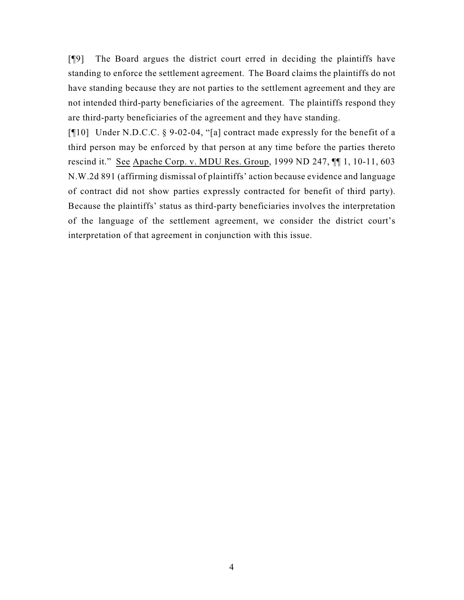[¶9] The Board argues the district court erred in deciding the plaintiffs have standing to enforce the settlement agreement. The Board claims the plaintiffs do not have standing because they are not parties to the settlement agreement and they are not intended third-party beneficiaries of the agreement. The plaintiffs respond they are third-party beneficiaries of the agreement and they have standing.

[¶10] Under N.D.C.C. § 9-02-04, "[a] contract made expressly for the benefit of a third person may be enforced by that person at any time before the parties thereto rescind it." See Apache Corp. v. MDU Res. Group, 1999 ND 247, ¶¶ 1, 10-11, 603 N.W.2d 891 (affirming dismissal of plaintiffs' action because evidence and language of contract did not show parties expressly contracted for benefit of third party). Because the plaintiffs' status as third-party beneficiaries involves the interpretation of the language of the settlement agreement, we consider the district court's interpretation of that agreement in conjunction with this issue.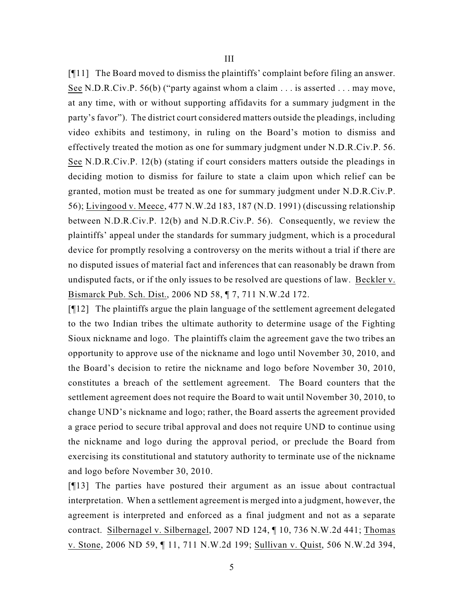[¶11] The Board moved to dismiss the plaintiffs' complaint before filing an answer. See N.D.R.Civ.P. 56(b) ("party against whom a claim . . . is asserted . . . may move, at any time, with or without supporting affidavits for a summary judgment in the party's favor"). The district court considered matters outside the pleadings, including video exhibits and testimony, in ruling on the Board's motion to dismiss and effectively treated the motion as one for summary judgment under N.D.R.Civ.P. 56. See N.D.R.Civ.P. 12(b) (stating if court considers matters outside the pleadings in deciding motion to dismiss for failure to state a claim upon which relief can be granted, motion must be treated as one for summary judgment under N.D.R.Civ.P. 56); Livingood v. Meece, 477 N.W.2d 183, 187 (N.D. 1991) (discussing relationship between N.D.R.Civ.P. 12(b) and N.D.R.Civ.P. 56). Consequently, we review the plaintiffs' appeal under the standards for summary judgment, which is a procedural device for promptly resolving a controversy on the merits without a trial if there are no disputed issues of material fact and inferences that can reasonably be drawn from undisputed facts, or if the only issues to be resolved are questions of law. Beckler v. Bismarck Pub. Sch. Dist., 2006 ND 58, ¶ 7, 711 N.W.2d 172.

[¶12] The plaintiffs argue the plain language of the settlement agreement delegated to the two Indian tribes the ultimate authority to determine usage of the Fighting Sioux nickname and logo. The plaintiffs claim the agreement gave the two tribes an opportunity to approve use of the nickname and logo until November 30, 2010, and the Board's decision to retire the nickname and logo before November 30, 2010, constitutes a breach of the settlement agreement. The Board counters that the settlement agreement does not require the Board to wait until November 30, 2010, to change UND's nickname and logo; rather, the Board asserts the agreement provided a grace period to secure tribal approval and does not require UND to continue using the nickname and logo during the approval period, or preclude the Board from exercising its constitutional and statutory authority to terminate use of the nickname and logo before November 30, 2010.

[¶13] The parties have postured their argument as an issue about contractual interpretation. When a settlement agreement is merged into a judgment, however, the agreement is interpreted and enforced as a final judgment and not as a separate contract. Silbernagel v. Silbernagel, 2007 ND 124, ¶ 10, 736 N.W.2d 441; Thomas v. Stone, 2006 ND 59, ¶ 11, 711 N.W.2d 199; Sullivan v. Quist, 506 N.W.2d 394,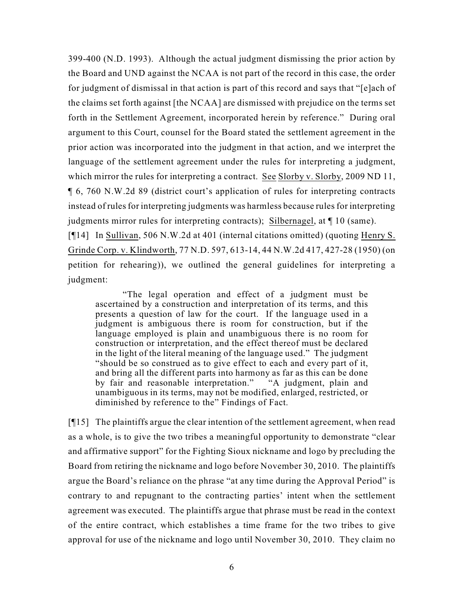399-400 (N.D. 1993). Although the actual judgment dismissing the prior action by the Board and UND against the NCAA is not part of the record in this case, the order for judgment of dismissal in that action is part of this record and says that "[e]ach of the claims set forth against [the NCAA] are dismissed with prejudice on the terms set forth in the Settlement Agreement, incorporated herein by reference." During oral argument to this Court, counsel for the Board stated the settlement agreement in the prior action was incorporated into the judgment in that action, and we interpret the language of the settlement agreement under the rules for interpreting a judgment, which mirror the rules for interpreting a contract. See Slorby v. Slorby, 2009 ND 11, ¶ 6, 760 N.W.2d 89 (district court's application of rules for interpreting contracts instead of rules for interpreting judgments was harmless because rules for interpreting judgments mirror rules for interpreting contracts); Silbernagel, at ¶ 10 (same). [¶14] In Sullivan, 506 N.W.2d at 401 (internal citations omitted) (quoting Henry S. Grinde Corp. v. Klindworth, 77 N.D. 597, 613-14, 44 N.W.2d 417, 427-28 (1950) (on petition for rehearing)), we outlined the general guidelines for interpreting a judgment:

"The legal operation and effect of a judgment must be ascertained by a construction and interpretation of its terms, and this presents a question of law for the court. If the language used in a judgment is ambiguous there is room for construction, but if the language employed is plain and unambiguous there is no room for construction or interpretation, and the effect thereof must be declared in the light of the literal meaning of the language used." The judgment "should be so construed as to give effect to each and every part of it, and bring all the different parts into harmony as far as this can be done by fair and reasonable interpretation." "A judgment, plain and unambiguous in its terms, may not be modified, enlarged, restricted, or diminished by reference to the" Findings of Fact.

 $\lceil \P{15} \rceil$  The plaintiffs argue the clear intention of the settlement agreement, when read as a whole, is to give the two tribes a meaningful opportunity to demonstrate "clear and affirmative support" for the Fighting Sioux nickname and logo by precluding the Board from retiring the nickname and logo before November 30, 2010. The plaintiffs argue the Board's reliance on the phrase "at any time during the Approval Period" is contrary to and repugnant to the contracting parties' intent when the settlement agreement was executed. The plaintiffs argue that phrase must be read in the context of the entire contract, which establishes a time frame for the two tribes to give approval for use of the nickname and logo until November 30, 2010. They claim no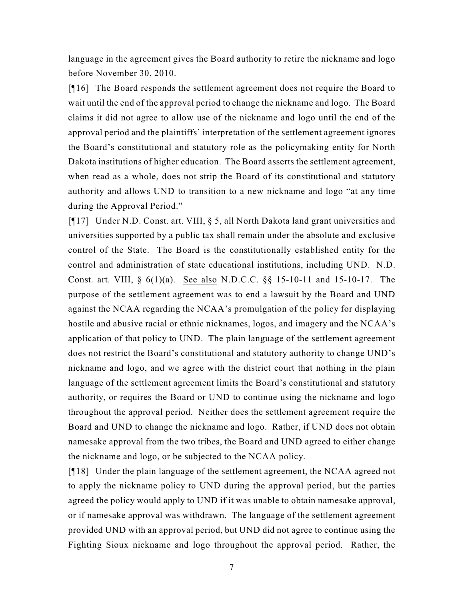language in the agreement gives the Board authority to retire the nickname and logo before November 30, 2010.

[¶16] The Board responds the settlement agreement does not require the Board to wait until the end of the approval period to change the nickname and logo. The Board claims it did not agree to allow use of the nickname and logo until the end of the approval period and the plaintiffs' interpretation of the settlement agreement ignores the Board's constitutional and statutory role as the policymaking entity for North Dakota institutions of higher education. The Board asserts the settlement agreement, when read as a whole, does not strip the Board of its constitutional and statutory authority and allows UND to transition to a new nickname and logo "at any time during the Approval Period."

[¶17] Under N.D. Const. art. VIII, § 5, all North Dakota land grant universities and universities supported by a public tax shall remain under the absolute and exclusive control of the State. The Board is the constitutionally established entity for the control and administration of state educational institutions, including UND. N.D. Const. art. VIII, § 6(1)(a). See also N.D.C.C. §§ 15-10-11 and 15-10-17. The purpose of the settlement agreement was to end a lawsuit by the Board and UND against the NCAA regarding the NCAA's promulgation of the policy for displaying hostile and abusive racial or ethnic nicknames, logos, and imagery and the NCAA's application of that policy to UND. The plain language of the settlement agreement does not restrict the Board's constitutional and statutory authority to change UND's nickname and logo, and we agree with the district court that nothing in the plain language of the settlement agreement limits the Board's constitutional and statutory authority, or requires the Board or UND to continue using the nickname and logo throughout the approval period. Neither does the settlement agreement require the Board and UND to change the nickname and logo. Rather, if UND does not obtain namesake approval from the two tribes, the Board and UND agreed to either change the nickname and logo, or be subjected to the NCAA policy.

[¶18] Under the plain language of the settlement agreement, the NCAA agreed not to apply the nickname policy to UND during the approval period, but the parties agreed the policy would apply to UND if it was unable to obtain namesake approval, or if namesake approval was withdrawn. The language of the settlement agreement provided UND with an approval period, but UND did not agree to continue using the Fighting Sioux nickname and logo throughout the approval period. Rather, the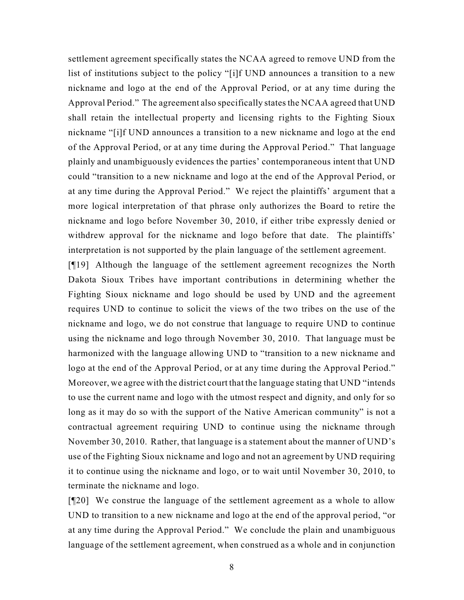settlement agreement specifically states the NCAA agreed to remove UND from the list of institutions subject to the policy "[i]f UND announces a transition to a new nickname and logo at the end of the Approval Period, or at any time during the Approval Period." The agreement also specifically states the NCAA agreed that UND shall retain the intellectual property and licensing rights to the Fighting Sioux nickname "[i]f UND announces a transition to a new nickname and logo at the end of the Approval Period, or at any time during the Approval Period." That language plainly and unambiguously evidences the parties' contemporaneous intent that UND could "transition to a new nickname and logo at the end of the Approval Period, or at any time during the Approval Period." We reject the plaintiffs' argument that a more logical interpretation of that phrase only authorizes the Board to retire the nickname and logo before November 30, 2010, if either tribe expressly denied or withdrew approval for the nickname and logo before that date. The plaintiffs' interpretation is not supported by the plain language of the settlement agreement.

[¶19] Although the language of the settlement agreement recognizes the North Dakota Sioux Tribes have important contributions in determining whether the Fighting Sioux nickname and logo should be used by UND and the agreement requires UND to continue to solicit the views of the two tribes on the use of the nickname and logo, we do not construe that language to require UND to continue using the nickname and logo through November 30, 2010. That language must be harmonized with the language allowing UND to "transition to a new nickname and logo at the end of the Approval Period, or at any time during the Approval Period." Moreover, we agree with the district court that the language stating that UND "intends to use the current name and logo with the utmost respect and dignity, and only for so long as it may do so with the support of the Native American community" is not a contractual agreement requiring UND to continue using the nickname through November 30, 2010. Rather, that language is a statement about the manner of UND's use of the Fighting Sioux nickname and logo and not an agreement by UND requiring it to continue using the nickname and logo, or to wait until November 30, 2010, to terminate the nickname and logo.

[¶20] We construe the language of the settlement agreement as a whole to allow UND to transition to a new nickname and logo at the end of the approval period, "or at any time during the Approval Period." We conclude the plain and unambiguous language of the settlement agreement, when construed as a whole and in conjunction